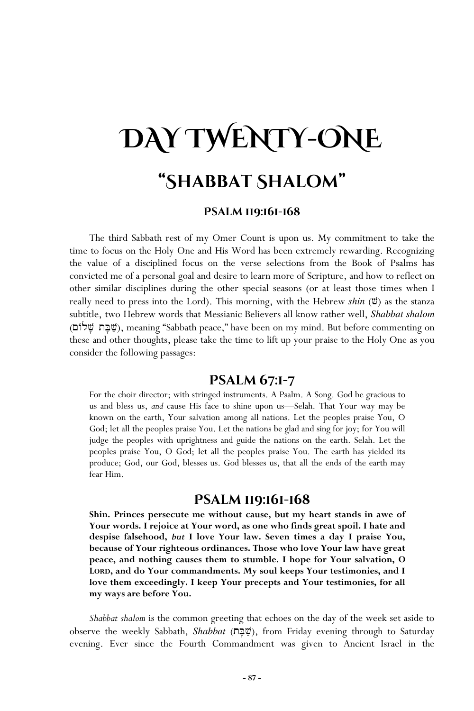# **DAY TWENTY-ONE "Shabbat Shalom"**

### **Psalm 119:161-168**

The third Sabbath rest of my Omer Count is upon us. My commitment to take the time to focus on the Holy One and His Word has been extremely rewarding. Recognizing the value of a disciplined focus on the verse selections from the Book of Psalms has convicted me of a personal goal and desire to learn more of Scripture, and how to reflect on other similar disciplines during the other special seasons (or at least those times when I really need to press into the Lord). This morning, with the Hebrew *shin* ( $\ddot{v}$ ) as the stanza subtitle, two Hebrew words that Messianic Believers all know rather well, *Shabbat shalom* (~Alv' tB'v;), meaning "Sabbath peace," have been on my mind. But before commenting on these and other thoughts, please take the time to lift up your praise to the Holy One as you consider the following passages:

## **Psalm 67:1-7**

For the choir director; with stringed instruments. A Psalm. A Song. God be gracious to us and bless us, *and* cause His face to shine upon us—Selah. That Your way may be known on the earth, Your salvation among all nations. Let the peoples praise You, O God; let all the peoples praise You. Let the nations be glad and sing for joy; for You will judge the peoples with uprightness and guide the nations on the earth. Selah. Let the peoples praise You, O God; let all the peoples praise You. The earth has yielded its produce; God, our God, blesses us. God blesses us, that all the ends of the earth may fear Him.

# **Psalm 119:161-168**

**Shin. Princes persecute me without cause, but my heart stands in awe of Your words. I rejoice at Your word, as one who finds great spoil. I hate and despise falsehood,** *but* **I love Your law. Seven times a day I praise You, because of Your righteous ordinances. Those who love Your law have great peace, and nothing causes them to stumble. I hope for Your salvation, O LORD, and do Your commandments. My soul keeps Your testimonies, and I love them exceedingly. I keep Your precepts and Your testimonies, for all my ways are before You.** 

*Shabbat shalom* is the common greeting that echoes on the day of the week set aside to observe the weekly Sabbath, *Shabbat* (tB'v;), from Friday evening through to Saturday evening. Ever since the Fourth Commandment was given to Ancient Israel in the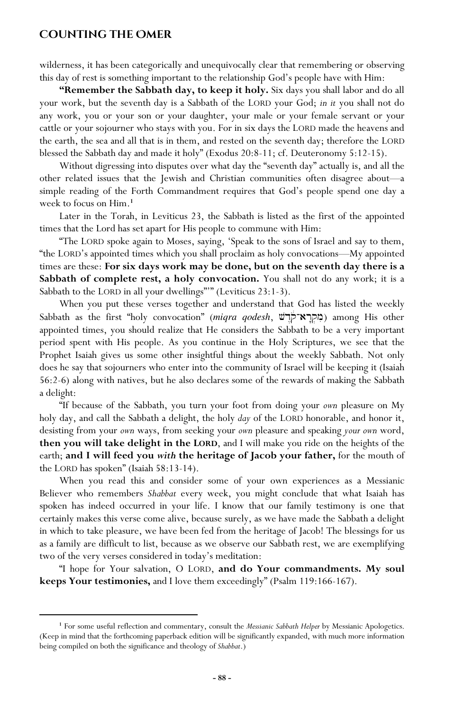## **Counting the Omer**

wilderness, it has been categorically and unequivocally clear that remembering or observing this day of rest is something important to the relationship God's people have with Him:

**"Remember the Sabbath day, to keep it holy.** Six days you shall labor and do all your work, but the seventh day is a Sabbath of the LORD your God; *in it* you shall not do any work, you or your son or your daughter, your male or your female servant or your cattle or your sojourner who stays with you. For in six days the LORD made the heavens and the earth, the sea and all that is in them, and rested on the seventh day; therefore the LORD blessed the Sabbath day and made it holy" (Exodus 20:8-11; cf. Deuteronomy 5:12-15).

Without digressing into disputes over what day the "seventh day" actually is, and all the other related issues that the Jewish and Christian communities often disagree about—a simple reading of the Forth Commandment requires that God's people spend one day a week to focus on Him.**<sup>1</sup>**

Later in the Torah, in Leviticus 23, the Sabbath is listed as the first of the appointed times that the Lord has set apart for His people to commune with Him:

"The LORD spoke again to Moses, saying, 'Speak to the sons of Israel and say to them, "the LORD's appointed times which you shall proclaim as holy convocations—My appointed times are these: **For six days work may be done, but on the seventh day there is a Sabbath of complete rest, a holy convocation.** You shall not do any work; it is a Sabbath to the LORD in all your dwellings"'" (Leviticus 23:1-3).

When you put these verses together and understand that God has listed the weekly Sabbath as the first "holy convocation" (*miqra qodesh*, מקרא־קול (**מקרא**־קול) among His other appointed times, you should realize that He considers the Sabbath to be a very important period spent with His people. As you continue in the Holy Scriptures, we see that the Prophet Isaiah gives us some other insightful things about the weekly Sabbath. Not only does he say that sojourners who enter into the community of Israel will be keeping it (Isaiah 56:2-6) along with natives, but he also declares some of the rewards of making the Sabbath a delight:

"If because of the Sabbath, you turn your foot from doing your *own* pleasure on My holy day, and call the Sabbath a delight, the holy *day* of the LORD honorable, and honor it, desisting from your *own* ways, from seeking your *own* pleasure and speaking *your own* word, **then you will take delight in the LORD**, and I will make you ride on the heights of the earth; **and I will feed you** *with* **the heritage of Jacob your father,** for the mouth of the LORD has spoken" (Isaiah 58:13-14).

When you read this and consider some of your own experiences as a Messianic Believer who remembers *Shabbat* every week, you might conclude that what Isaiah has spoken has indeed occurred in your life. I know that our family testimony is one that certainly makes this verse come alive, because surely, as we have made the Sabbath a delight in which to take pleasure, we have been fed from the heritage of Jacob! The blessings for us as a family are difficult to list, because as we observe our Sabbath rest, we are exemplifying two of the very verses considered in today's meditation:

"I hope for Your salvation, O LORD, **and do Your commandments. My soul keeps Your testimonies,** and I love them exceedingly" (Psalm 119:166-167).

**<sup>1</sup>** For some useful reflection and commentary, consult the *Messianic Sabbath Helper* by Messianic Apologetics. (Keep in mind that the forthcoming paperback edition will be significantly expanded, with much more information being compiled on both the significance and theology of *Shabbat*.)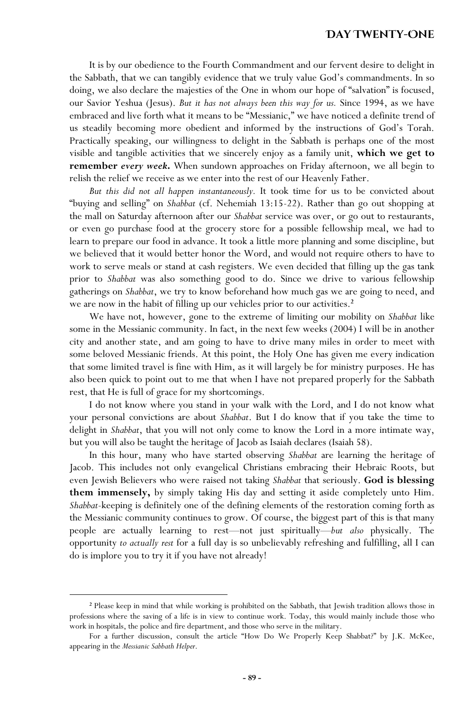### **Day Twenty-One**

It is by our obedience to the Fourth Commandment and our fervent desire to delight in the Sabbath, that we can tangibly evidence that we truly value God's commandments. In so doing, we also declare the majesties of the One in whom our hope of "salvation" is focused, our Savior Yeshua (Jesus). *But it has not always been this way for us.* Since 1994, as we have embraced and live forth what it means to be "Messianic," we have noticed a definite trend of us steadily becoming more obedient and informed by the instructions of God's Torah. Practically speaking, our willingness to delight in the Sabbath is perhaps one of the most visible and tangible activities that we sincerely enjoy as a family unit, **which we get to remember** *every week***.** When sundown approaches on Friday afternoon, we all begin to relish the relief we receive as we enter into the rest of our Heavenly Father.

*But this did not all happen instantaneously.* It took time for us to be convicted about "buying and selling" on *Shabbat* (cf. Nehemiah 13:15-22). Rather than go out shopping at the mall on Saturday afternoon after our *Shabbat* service was over, or go out to restaurants, or even go purchase food at the grocery store for a possible fellowship meal, we had to learn to prepare our food in advance. It took a little more planning and some discipline, but we believed that it would better honor the Word, and would not require others to have to work to serve meals or stand at cash registers. We even decided that filling up the gas tank prior to *Shabbat* was also something good to do. Since we drive to various fellowship gatherings on *Shabbat*, we try to know beforehand how much gas we are going to need, and we are now in the habit of filling up our vehicles prior to our activities.**<sup>2</sup>**

We have not, however, gone to the extreme of limiting our mobility on *Shabbat* like some in the Messianic community. In fact, in the next few weeks (2004) I will be in another city and another state, and am going to have to drive many miles in order to meet with some beloved Messianic friends. At this point, the Holy One has given me every indication that some limited travel is fine with Him, as it will largely be for ministry purposes. He has also been quick to point out to me that when I have not prepared properly for the Sabbath rest, that He is full of grace for my shortcomings.

I do not know where you stand in your walk with the Lord, and I do not know what your personal convictions are about *Shabbat*. But I do know that if you take the time to delight in *Shabbat*, that you will not only come to know the Lord in a more intimate way, but you will also be taught the heritage of Jacob as Isaiah declares (Isaiah 58).

In this hour, many who have started observing *Shabbat* are learning the heritage of Jacob. This includes not only evangelical Christians embracing their Hebraic Roots, but even Jewish Believers who were raised not taking *Shabbat* that seriously. **God is blessing them immensely,** by simply taking His day and setting it aside completely unto Him. *Shabbat*-keeping is definitely one of the defining elements of the restoration coming forth as the Messianic community continues to grow. Of course, the biggest part of this is that many people are actually learning to rest—not just spiritually—*but also* physically. The opportunity *to actually rest* for a full day is so unbelievably refreshing and fulfilling, all I can do is implore you to try it if you have not already!

<sup>&</sup>lt;sup>2</sup> Please keep in mind that while working is prohibited on the Sabbath, that Jewish tradition allows those in professions where the saving of a life is in view to continue work. Today, this would mainly include those who work in hospitals, the police and fire department, and those who serve in the military.

For a further discussion, consult the article "How Do We Properly Keep Shabbat?" by J.K. McKee, appearing in the *Messianic Sabbath Helper*.